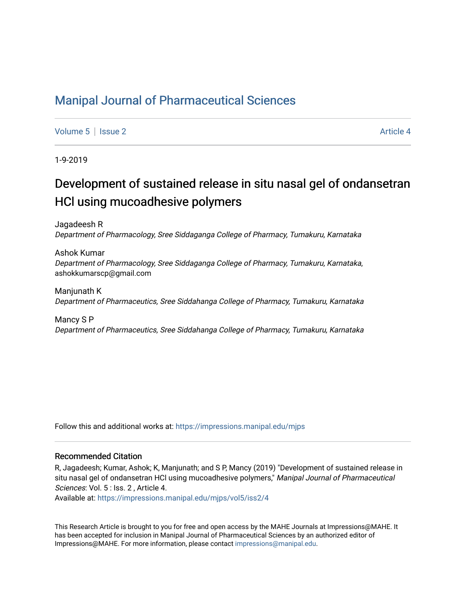## [Manipal Journal of Pharmaceutical Sciences](https://impressions.manipal.edu/mjps)

[Volume 5](https://impressions.manipal.edu/mjps/vol5) | [Issue 2](https://impressions.manipal.edu/mjps/vol5/iss2) Article 4

1-9-2019

# Development of sustained release in situ nasal gel of ondansetran HCl using mucoadhesive polymers

Jagadeesh R Department of Pharmacology, Sree Siddaganga College of Pharmacy, Tumakuru, Karnataka

Ashok Kumar Department of Pharmacology, Sree Siddaganga College of Pharmacy, Tumakuru, Karnataka, ashokkumarscp@gmail.com

Manjunath K Department of Pharmaceutics, Sree Siddahanga College of Pharmacy, Tumakuru, Karnataka

Mancy S P Department of Pharmaceutics, Sree Siddahanga College of Pharmacy, Tumakuru, Karnataka

Follow this and additional works at: [https://impressions.manipal.edu/mjps](https://impressions.manipal.edu/mjps?utm_source=impressions.manipal.edu%2Fmjps%2Fvol5%2Fiss2%2F4&utm_medium=PDF&utm_campaign=PDFCoverPages)

### Recommended Citation

R, Jagadeesh; Kumar, Ashok; K, Manjunath; and S P, Mancy (2019) "Development of sustained release in situ nasal gel of ondansetran HCl using mucoadhesive polymers," Manipal Journal of Pharmaceutical Sciences: Vol. 5 : Iss. 2 , Article 4.

Available at: [https://impressions.manipal.edu/mjps/vol5/iss2/4](https://impressions.manipal.edu/mjps/vol5/iss2/4?utm_source=impressions.manipal.edu%2Fmjps%2Fvol5%2Fiss2%2F4&utm_medium=PDF&utm_campaign=PDFCoverPages)

This Research Article is brought to you for free and open access by the MAHE Journals at Impressions@MAHE. It has been accepted for inclusion in Manipal Journal of Pharmaceutical Sciences by an authorized editor of Impressions@MAHE. For more information, please contact [impressions@manipal.edu](mailto:impressions@manipal.edu).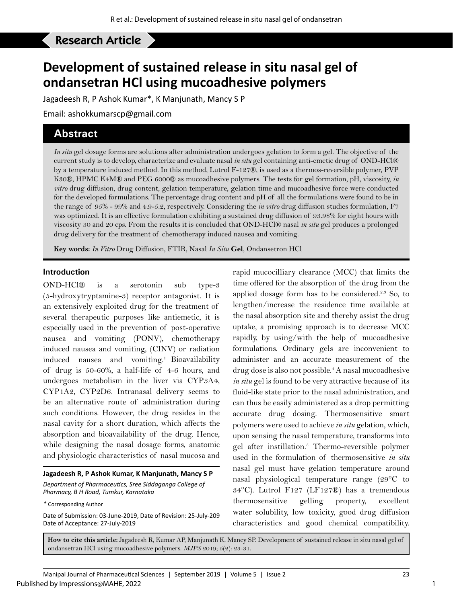# Research Article **development of sustainability of sustainability of sustainability of one of one only on the one of one of one of one of one of one of one or one of one or other conducts.**

# **Development of sustained release in situ nasal gel of ondansetran HCl using mucoadhesive polymers**

Jagadeesh R, P Ashok Kumar\*, K Manjunath, Mancy S P

Email: ashokkumarscp@gmail.com

## **Abstract**

*In situ* gel dosage forms are solutions after administration undergoes gelation to form a gel. The objective of the current study is to develop, characterize and evaluate nasal *in situ* gel containing anti-emetic drug of OND-HCl® by a temperature induced method. In this method, Lutrol F-127®, is used as a thermos-reversible polymer, PVP K30®, HPMC K4M® and PEG 6000® as mucoadhesive polymers. The tests for gel formation, pH, viscosity, *in vitro* drug diffusion, drug content, gelation temperature, gelation time and mucoadhesive force were conducted for the developed formulations. The percentage drug content and pH of all the formulations were found to be in the range of 95% - 99% and 4.9-5.2, respectively. Considering the *in vitro* drug diffusion studies formulation, F7 was optimized. It is an effective formulation exhibiting a sustained drug diffusion of 93.98% for eight hours with viscosity 30 and 20 cps. From the results it is concluded that OND-HCl® nasal *in situ* gel produces a prolonged drug delivery for the treatment of chemotherapy induced nausea and vomiting.

**Key words:** *In Vitro* Drug Diffusion, FTIR, Nasal *In Situ* **Gel**, Ondansetron HCl

#### **Introduction**

OND-HCl® is a serotonin sub type-3 (5-hydroxytryptamine-3) receptor antagonist. It is an extensively exploited drug for the treatment of several therapeutic purposes like antiemetic, it is especially used in the prevention of post-operative nausea and vomiting (PONV), chemotherapy induced nausea and vomiting, (CINV) or radiation induced nausea and vomiting.<sup>1</sup> Bioavailability of drug is 50-60%, a half-life of 4-6 hours, and undergoes metabolism in the liver via CYP3A4, CYP1A2, CYP2D6. Intranasal delivery seems to be an alternative route of administration during such conditions. However, the drug resides in the nasal cavity for a short duration, which affects the absorption and bioavailability of the drug. Hence, while designing the nasal dosage forms, anatomic and physiologic characteristics of nasal mucosa and

#### **Jagadeesh R, P Ashok Kumar, K Manjunath, Mancy S P** *Department of Pharmaceutics, Sree Siddaganga College of Pharmacy, B H Road, Tumkur, Karnataka*

Date of Submission: 03-June-2019, Date of Revision: 25-July-209 Date of Acceptance: 27-July-2019

rapid mucocilliary clearance (MCC) that limits the time offered for the absorption of the drug from the applied dosage form has to be considered.<sup>2,3</sup> So, to lengthen/increase the residence time available at the nasal absorption site and thereby assist the drug uptake, a promising approach is to decrease MCC rapidly, by using/with the help of mucoadhesive formulations. Ordinary gels are inconvenient to administer and an accurate measurement of the drug dose is also not possible.<sup>4</sup> A nasal mucoadhesive *in situ* gel is found to be very attractive because of its fluid-like state prior to the nasal administration, and can thus be easily administered as a drop permitting accurate drug dosing. Thermosensitive smart polymers were used to achieve *in situ* gelation, which, upon sensing the nasal temperature, transforms into gel after instillation.<sup>5</sup> Thermo-reversible polymer used in the formulation of thermosensitive *in situ* nasal gel must have gelation temperature around nasal physiological temperature range (29°C to 34°C). Lutrol F127 (LF127®) has a tremendous thermosensitive gelling property, excellent water solubility, low toxicity, good drug diffusion characteristics and good chemical compatibility.

**How to cite this article:** Jagadeesh R, Kumar AP, Manjunath K, Mancy SP. Development of sustained release in situ nasal gel of ondansetran HCl using mucoadhesive polymers. *MJPS* 2019; 5(2): 23-31.

1

*<sup>\*</sup>* Corresponding Author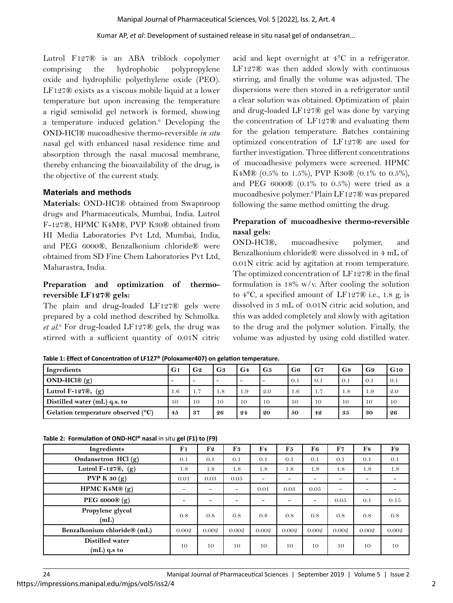Lutrol F127® is an ABA triblock copolymer comprising the hydrophobic polypropylene oxide and hydrophilic polyethylene oxide (PEO). LF127® exists as a viscous mobile liquid at a lower temperature but upon increasing the temperature a rigid semisolid gel network is formed, showing a temperature induced gelation.<sup>6</sup> Developing the OND-HCl® mucoadhesive thermo-reversible *in situ* nasal gel with enhanced nasal residence time and absorption through the nasal mucosal membrane, thereby enhancing the bioavailability of the drug, is the objective of the current study.

## **Materials and methods**

**Materials:** OND-HCl® obtained from Swapnroop drugs and Pharmaceuticals, Mumbai, India. Lutrol F-127®, HPMC K4M®, PVP K30® obtained from HI Media Laboratories Pvt Ltd, Mumbai, India, and PEG 6000®, Benzalkonium chloride® were obtained from SD Fine Chem Laboratories Pvt Ltd, Maharastra, India.

## **Preparation and optimization of thermoreversible LF127® gels:**

The plain and drug-loaded LF127® gels were prepared by a cold method described by Schmolka. et al.<sup>6</sup> For drug-loaded LF127® gels, the drug was stirred with a sufficient quantity of 0.01N citric

acid and kept overnight at 4°C in a refrigerator. LF127® was then added slowly with continuous stirring, and finally the volume was adjusted. The dispersions were then stored in a refrigerator until a clear solution was obtained. Optimization of plain and drug-loaded LF127® gel was done by varying the concentration of LF127® and evaluating them for the gelation temperature. Batches containing optimized concentration of LF127® are used for further investigation. Three different concentrations of mucoadhesive polymers were screened. HPMC K4M® (0.5% to 1.5%), PVP K30® (0.1% to 0.5%), and PEG  $6000\$   $(0.1\%$  to  $0.5\%)$  were tried as a mucoadhesive polymer.6 Plain LF127® was prepared following the same method omitting the drug.

## **Preparation of mucoadhesive thermo-reversible nasal gels:**

OND-HCl®, mucoadhesive polymer, and Benzalkonium chloride® were dissolved in 4 mL of 0.01N citric acid by agitation at room temperature. The optimized concentration of LF127® in the final formulation is 18% w/v. After cooling the solution to 4°C, a specified amount of LF127® i.e., 1.8 g, is dissolved in 3 mL of 0.01N citric acid solution, and this was added completely and slowly with agitation to the drug and the polymer solution. Finally, the volume was adjusted by using cold distilled water.

| Ingredients                                 | G1                       | G <sub>2</sub>           | G <sub>3</sub>           | G <sub>4</sub>           | G <sub>5</sub> | G <sub>6</sub> | G <sub>7</sub> | G8  | G9     | G10 |
|---------------------------------------------|--------------------------|--------------------------|--------------------------|--------------------------|----------------|----------------|----------------|-----|--------|-----|
| $OND-HCl@(g)$                               | $\overline{\phantom{0}}$ | $\overline{\phantom{a}}$ | $\overline{\phantom{a}}$ | $\overline{\phantom{a}}$ | -              | $\Omega$ .     | 0.1            | 0.1 | (0, 1) | 0.1 |
| Lutrol F-127 $\mathcal{R}$ , (g)            | $1.6^{\circ}$            | 1.7                      | 1.8                      | 1.9                      | 2.0            | 1.6            | 1.7            | 1.8 | 1.9    | 2.0 |
| Distilled water $(mL)$ q.s. to              | 10                       | 10                       | 10                       | 10                       | 10             | 10             | 10             | 10  | 10     | 10  |
| Gelation temperature observed $(^{\circ}C)$ | 4.5                      | 37                       | 26                       | 24                       | 20             | 50             | 42             | 35  | 30     | 26  |

**Table 1: Effect of Concentration of LF127® (Poloxamer407) on gelation temperature.**

|  |  |  |  | Table 2: Formulation of OND-HCl <sup>®</sup> nasal in situ gel (F1) to (F9) |
|--|--|--|--|-----------------------------------------------------------------------------|
|--|--|--|--|-----------------------------------------------------------------------------|

| Ingredients                      | F1              | F2    | F3    | $\mathbf{F4}$ | F5    | F6    | F7                       | F8    | F9    |
|----------------------------------|-----------------|-------|-------|---------------|-------|-------|--------------------------|-------|-------|
| Ondansetron HCl (g)              | 0.1             | 0.1   | 0.1   | 0.1           | 0.1   | 0.1   | 0.1                      | 0.1   | 0.1   |
| Lutrol F-127 $\mathcal{R}$ , (g) | 1.8             | 1.8   | 1.8   | 1.8           | 1.8   | 1.8   | 1.8                      | 1.8   | 1.8   |
| PVP K $30(g)$                    | 0.01            | 0.03  | 0.05  |               |       |       |                          |       |       |
| HPMC $K4M\otimes$ (g)            | $\qquad \qquad$ |       | -     | 0.01          | 0.03  | 0.05  | $\overline{\phantom{0}}$ |       |       |
| PEG 6000® (g)                    |                 |       |       |               |       | -     | 0.05                     | 0.1   | 0.15  |
| Propylene glycol<br>(mL)         | 0.8             | 0.8   | 0.8   | 0.8           | 0.8   | 0.8   | 0.8                      | 0.8   | 0.8   |
| Benzalkonium chloride® (mL)      | 0.002           | 0.002 | 0.002 | 0.002         | 0.002 | 0.002 | 0.002                    | 0.002 | 0.002 |
| Distilled water<br>(mL) q.s to   | 10              | 10    | 10    | 10            | 10    | 10    | 10                       | 10    | 10    |

https://impressions.manipal.edu/mjps/vol5/iss2/4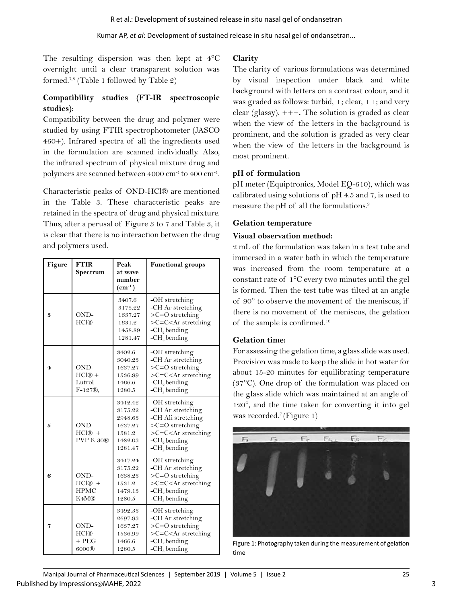The resulting dispersion was then kept at  $4^{\circ}$ C overnight until a clear transparent solution was formed.7,8 (Table 1 followed by Table 2)

## **Compatibility studies (FT-IR spectroscopic studies):**

Compatibility between the drug and polymer were studied by using FTIR spectrophotometer (JASCO 460+). Infrared spectra of all the ingredients used in the formulation are scanned individually. Also, the infrared spectrum of physical mixture drug and polymers are scanned between 4000 cm-1 to 400 cm-1.

Characteristic peaks of OND-HCl® are mentioned in the Table 3. These characteristic peaks are retained in the spectra of drug and physical mixture. Thus, after a perusal of Figure 3 to 7 and Table 3, it is clear that there is no interaction between the drug and polymers used.

| Figure         | <b>FTIR</b><br>Spectrum                                          | Peak<br>at wave<br>number<br>$\rm (cm^{-1})$                             | <b>Functional groups</b>                                                                                                    |
|----------------|------------------------------------------------------------------|--------------------------------------------------------------------------|-----------------------------------------------------------------------------------------------------------------------------|
| 3              | OND-<br>HCI@                                                     | 3407.6<br>3175.22<br>1637.27<br>1631.2<br>1458.89<br>1281.47             | -OH stretching<br>-CH Ar stretching<br>$>C=O$ stretching<br>$>C=C stretching-CH2 bending-CHs bending$                       |
| $\overline{4}$ | OND-<br>$HCI@ +$<br>Lutrol<br>$F-127®$ ,                         | 3402.6<br>3040.23<br>1637.27<br>1536.99<br>1466.6<br>1280.5              | -OH stretching<br>-CH Ar stretching<br>$>C=O$ stretching<br>$>C=C stretching-CHo bending-CHs bending$                       |
| 5              | OND-<br>$HCI@ +$<br>PVP K 30 <sub>®</sub>                        | 3412.42<br>3175.22<br>2948.63<br>1637.27<br>1581.2<br>1482.03<br>1281.47 | -OH stretching<br>-CH Ar stretching<br>-CH Ali stretching<br>$>C=O$ stretching<br>$>C=C stretching-CH2 bending-CHs bending$ |
| 6              | OND-<br>$HCI@ +$<br><b>HPMC</b><br>K <sub>4</sub> M <sub>®</sub> | 3417.24<br>3175.22<br>1638.23<br>1531.2<br>1479.13<br>1280.5             | -OH stretching<br>-CH Ar stretching<br>$>C=O$ stretching<br>$>C=C stretching-CH4 bending-CHs bending$                       |
| 7              | OND-<br>HCI@<br>$+$ PEG<br>6000®                                 | 3492.33<br>2697.93<br>1637.27<br>1536.99<br>1466.6<br>1280.5             | -OH stretching<br>-CH Ar stretching<br>$>C=O$ stretching<br>$>C=C stretching-CHo bending-CHs bending$                       |

## **Clarity**

The clarity of various formulations was determined by visual inspection under black and white background with letters on a contrast colour, and it was graded as follows: turbid, +; clear, ++; and very clear (glassy), +++**.** The solution is graded as clear when the view of the letters in the background is prominent, and the solution is graded as very clear when the view of the letters in the background is most prominent.

## **pH of formulation**

pH meter (Equiptronics, Model EQ-610), which was calibrated using solutions of pH 4.5 and 7, is used to measure the pH of all the formulations.9

## **Gelation temperature**

## **Visual observation method:**

2 mL of the formulation was taken in a test tube and immersed in a water bath in which the temperature was increased from the room temperature at a constant rate of 1°C every two minutes until the gel is formed. Then the test tube was tilted at an angle of 90° to observe the movement of the meniscus; if there is no movement of the meniscus, the gelation of the sample is confirmed.10

## **Gelation time:**

For assessing the gelation time, a glass slide was used. Provision was made to keep the slide in hot water for about 15-20 minutes for equilibrating temperature (37°C). One drop of the formulation was placed on the glass slide which was maintained at an angle of 120°, and the time taken for converting it into gel was recorded.<sup>7</sup> (Figure 1)



Figure 1: Photography taken during the measurement of gelation time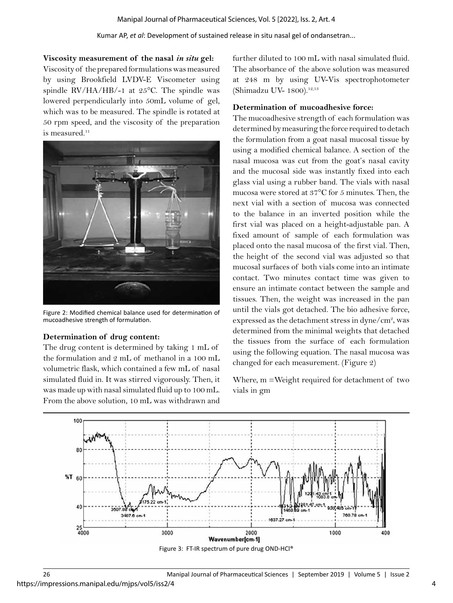**Viscosity measurement of the nasal** *in situ* **gel:**

Viscosity of the prepared formulations was measured by using Brookfield LVDV-E Viscometer using spindle RV/HA/HB/-1 at 25°C. The spindle was lowered perpendicularly into 50mL volume of gel, which was to be measured. The spindle is rotated at 50 rpm speed, and the viscosity of the preparation is measured.<sup>11</sup>



Figure 2: Modified chemical balance used for determination of mucoadhesive strength of formulation.

### **Determination of drug content:**

The drug content is determined by taking 1 mL of the formulation and 2 mL of methanol in a 100 mL volumetric flask, which contained a few mL of nasal simulated fluid in. It was stirred vigorously. Then, it was made up with nasal simulated fluid up to 100 mL. From the above solution, 10 mL was withdrawn and

further diluted to 100 mL with nasal simulated fluid. The absorbance of the above solution was measured at 248 m by using UV-Vis spectrophotometer (Shimadzu UV- 1800).<sup>12,13</sup>

## **Determination of mucoadhesive force:**

The mucoadhesive strength of each formulation was determined by measuring the force required to detach the formulation from a goat nasal mucosal tissue by using a modified chemical balance. A section of the nasal mucosa was cut from the goat's nasal cavity and the mucosal side was instantly fixed into each glass vial using a rubber band. The vials with nasal mucosa were stored at 37°C for 5 minutes. Then, the next vial with a section of mucosa was connected to the balance in an inverted position while the first vial was placed on a height-adjustable pan. A fixed amount of sample of each formulation was placed onto the nasal mucosa of the first vial. Then, the height of the second vial was adjusted so that mucosal surfaces of both vials come into an intimate contact. Two minutes contact time was given to ensure an intimate contact between the sample and tissues. Then, the weight was increased in the pan until the vials got detached. The bio adhesive force, expressed as the detachment stress in dyne/cm<sup>2</sup>, was determined from the minimal weights that detached the tissues from the surface of each formulation using the following equation. The nasal mucosa was changed for each measurement. (Figure 2)

Where, m =Weight required for detachment of two vials in gm

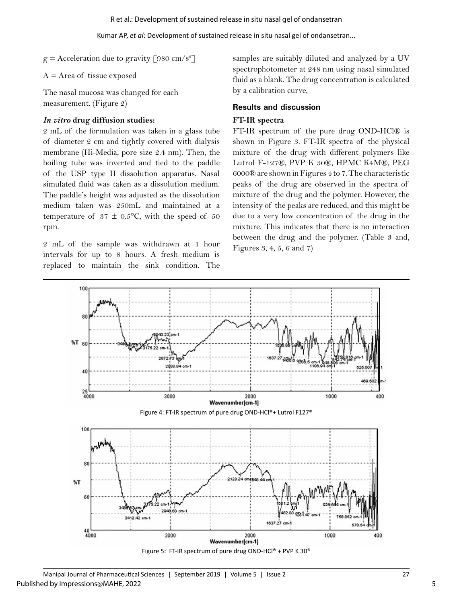Kumar AP, *et al*: Development of sustained release in situ nasal gel of ondansetran...

 $g =$  Acceleration due to gravity [980 cm/s<sup>2</sup>]

 $A = Area of$  tissue exposed

The nasal mucosa was changed for each measurement. (Figure 2)

## *In vitro* **drug diffusion studies:**

2 mL of the formulation was taken in a glass tube of diameter 2 cm and tightly covered with dialysis membrane (Hi-Media, pore size 2.4 nm). Then, the boiling tube was inverted and tied to the paddle of the USP type II dissolution apparatus. Nasal simulated fluid was taken as a dissolution medium. The paddle's height was adjusted as the dissolution medium taken was 250mL and maintained at a temperature of  $37 \pm 0.5$ °C, with the speed of 50 rpm.

2 mL of the sample was withdrawn at 1 hour intervals for up to 8 hours. A fresh medium is replaced to maintain the sink condition. The

samples are suitably diluted and analyzed by a UV spectrophotometer at 248 nm using nasal simulated fluid as a blank. The drug concentration is calculated by a calibration curve,

### **Results and discussion**

#### **FT-IR spectra**

FT-IR spectrum of the pure drug OND-HCl® is shown in Figure 3. FT-IR spectra of the physical mixture of the drug with different polymers like Lutrol F-127®, PVP K 30®, HPMC K4M®, PEG 6000® are shown in Figures 4 to 7. The characteristic peaks of the drug are observed in the spectra of mixture of the drug and the polymer. However, the intensity of the peaks are reduced, and this might be due to a very low concentration of the drug in the mixture. This indicates that there is no interaction between the drug and the polymer. (Table 3 and, Figures 3, 4, 5, 6 and 7)



Figure 5: FT-IR spectrum of pure drug OND-HCl® + PVP K 30®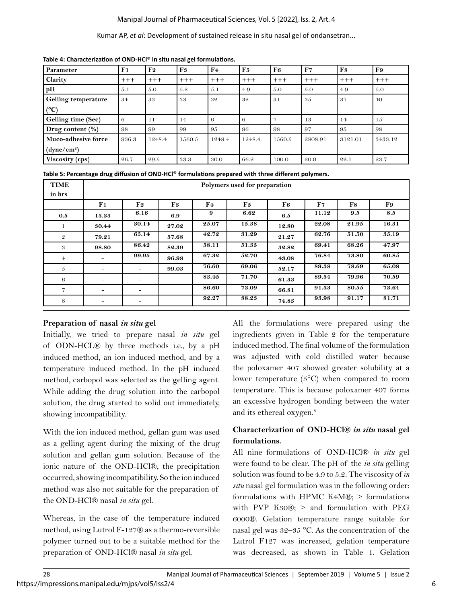## Manipal Journal of Pharmaceutical Sciences, Vol. 5 [2022], Iss. 2, Art. 4

#### Kumar AP, *et al*: Development of sustained release in situ nasal gel of ondansetran...

| Parameter                  | F <sub>1</sub> | F2     | F <sub>3</sub> | F <sub>4</sub> | F5     | F6     | F7      | F8      | F9      |
|----------------------------|----------------|--------|----------------|----------------|--------|--------|---------|---------|---------|
| Clarity                    | $+++$          | $+++$  | $+++$          | $+++$          | $+++$  | $+++$  | $+++$   | $+++$   | $+++$   |
| pH                         | 5.1            | 5.0    | 5.2            | 5.1            | 4.9    | 5.0    | 5.0     | 4.9     | 5.0     |
| <b>Gelling temperature</b> | 34             | 33     | 33             | 32             | 32     | 31     | 35      | 37      | 40      |
| $(^{\circ}C)$              |                |        |                |                |        |        |         |         |         |
| Gelling time (Sec)         | 6              | 11     | 14             | 6              | 6      |        | 13      | 14      | 1.5     |
| Drug content $(\%)$        | 98             | 99     | 99             | 95             | 96     | 98     | 97      | 95      | 98      |
| Muco-adhesive force        | 936.3          | 1248.4 | 1560.5         | 1248.4         | 1248.4 | 1560.5 | 2808.91 | 3121.01 | 3433.12 |
| (dyne/cm <sup>2</sup> )    |                |        |                |                |        |        |         |         |         |
| Viscosity (cps)            | 26.7           | 29.5   | 33.3           | 30.0           | 66.2   | 100.0  | 20.0    | 22.1    | 23.7    |

**Table 4: Characterization of OND-HCl® in situ nasal gel formulations.**

|  | Table 5: Percentage drug diffusion of OND-HCl® formulations prepared with three different polymers. |  |
|--|-----------------------------------------------------------------------------------------------------|--|
|  |                                                                                                     |  |

| <b>TIME</b><br>in hrs | Polymers used for preparation |                              |       |                |       |       |       |       |         |  |  |
|-----------------------|-------------------------------|------------------------------|-------|----------------|-------|-------|-------|-------|---------|--|--|
|                       | F1                            | F2                           | F3    | $\mathbf{F4}$  | F5    | F6    | F7    | F8    | F9      |  |  |
| 0.5                   | 13.33                         | 6.16                         | 6.9   | 9              | 6.62  | 6.5   | 11.12 | 9.5   | $8.5\,$ |  |  |
|                       | 30.44                         | 30.14                        | 27.02 | $\sqrt{25.07}$ | 15.38 | 12.80 | 22.08 | 21.95 | 16.31   |  |  |
| $\mathfrak{D}$        | 79.21                         | 65.14                        | 57.68 | 42.72          | 31.29 | 21.27 | 62.76 | 51.50 | 35.19   |  |  |
| 3                     | 98.80                         | 86.42                        | 82.39 | 58.11          | 51.35 | 32.82 | 69.41 | 68.26 | 47.97   |  |  |
| $4\epsilon$           | -                             | 99.95                        | 96.98 | 67.32          | 52.70 | 43.08 | 76.84 | 73.80 | 60.85   |  |  |
| 5                     | -                             | -                            | 99.03 | 76.60          | 69.06 | 52.17 | 89.38 | 78.69 | 65.08   |  |  |
| 6                     | -                             |                              |       | 83.45          | 71.70 | 61.33 | 89.54 | 79.96 | 70.59   |  |  |
| $\overline{7}$        | $\overline{\phantom{a}}$      | $\qquad \qquad \blacksquare$ |       | 86.60          | 73.09 | 66.81 | 91.33 | 80.55 | 73.64   |  |  |
| 8                     | -                             | -                            |       | 92.27          | 88.23 | 74.83 | 93.98 | 91.17 | 81.71   |  |  |

### **Preparation of nasal** *in situ* **gel**

Initially, we tried to prepare nasal *in situ* gel of ODN-HCL® by three methods i.e., by a pH induced method, an ion induced method, and by a temperature induced method. In the pH induced method, carbopol was selected as the gelling agent. While adding the drug solution into the carbopol solution, the drug started to solid out immediately, showing incompatibility.

With the ion induced method, gellan gum was used as a gelling agent during the mixing of the drug solution and gellan gum solution. Because of the ionic nature of the OND-HCl®, the precipitation occurred, showing incompatibility. So the ion induced method was also not suitable for the preparation of the OND-HCl® nasal *in situ* gel.

Whereas, in the case of the temperature induced method, using Lutrol F-127® as a thermo-reversible polymer turned out to be a suitable method for the preparation of OND-HCl® nasal *in situ* gel.

All the formulations were prepared using the ingredients given in Table 2 for the temperature induced method. The final volume of the formulation was adjusted with cold distilled water because the poloxamer 407 showed greater solubility at a lower temperature (5°C) when compared to room temperature. This is because poloxamer 407 forms an excessive hydrogen bonding between the water and its ethereal oxygen.<sup>8</sup>

## **Characterization of OND-HCl®** *in situ* **nasal gel formulations.**

All nine formulations of OND-HCl® *in situ* gel were found to be clear. The pH of the *in situ* gelling solution was found to be 4.9 to 5.2. The viscosity of *in situ* nasal gel formulation was in the following order: formulations with HPMC K4M®;  $>$  formulations with PVP  $K30\mathbb{R}$ ;  $>$  and formulation with PEG 6000®. Gelation temperature range suitable for nasal gel was 32–35 °C. As the concentration of the Lutrol F127 was increased, gelation temperature was decreased, as shown in Table 1. Gelation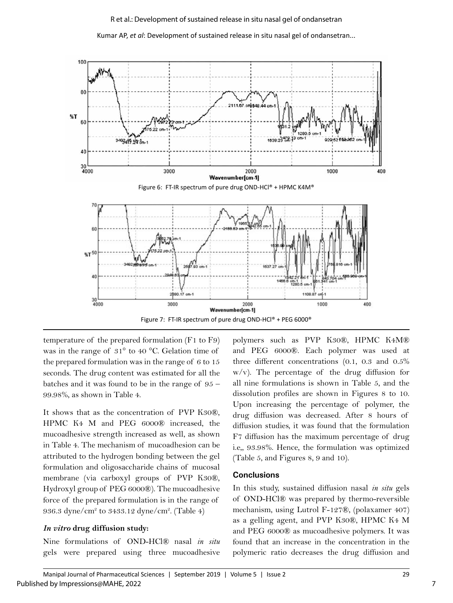Kumar AP, *et al*: Development of sustained release in situ nasal gel of ondansetran...



temperature of the prepared formulation (F1 to F9) was in the range of 31° to 40 °C. Gelation time of the prepared formulation was in the range of 6 to 15 seconds. The drug content was estimated for all the batches and it was found to be in the range of 95 – 99.98%, as shown in Table 4.

It shows that as the concentration of PVP K30®, HPMC K4 M and PEG 6000® increased, the mucoadhesive strength increased as well, as shown in Table 4. The mechanism of mucoadhesion can be attributed to the hydrogen bonding between the gel formulation and oligosaccharide chains of mucosal membrane (via carboxyl groups of PVP K30®, Hydroxyl group of PEG 6000®). The mucoadhesive force of the prepared formulation is in the range of 936.3 dyne/cm2 to 3433.12 dyne/cm2 . (Table 4)

### *In vitro* **drug diffusion study:**

Nine formulations of OND-HCl® nasal *in situ*  gels were prepared using three mucoadhesive polymers such as PVP K30®, HPMC K4M® and PEG 6000®. Each polymer was used at three different concentrations (0.1, 0.3 and 0.5% w/v). The percentage of the drug diffusion for all nine formulations is shown in Table 5, and the dissolution profiles are shown in Figures 8 to 10. Upon increasing the percentage of polymer, the drug diffusion was decreased. After 8 hours of diffusion studies, it was found that the formulation F7 diffusion has the maximum percentage of drug i.e,, 93.98%. Hence, the formulation was optimized (Table 5, and Figures 8, 9 and 10).

## **Conclusions**

In this study, sustained diffusion nasal *in situ* gels of OND-HCl® was prepared by thermo-reversible mechanism, using Lutrol F-127®, (polaxamer 407) as a gelling agent, and PVP K30®, HPMC K4 M and PEG 6000® as mucoadhesive polymers. It was found that an increase in the concentration in the polymeric ratio decreases the drug diffusion and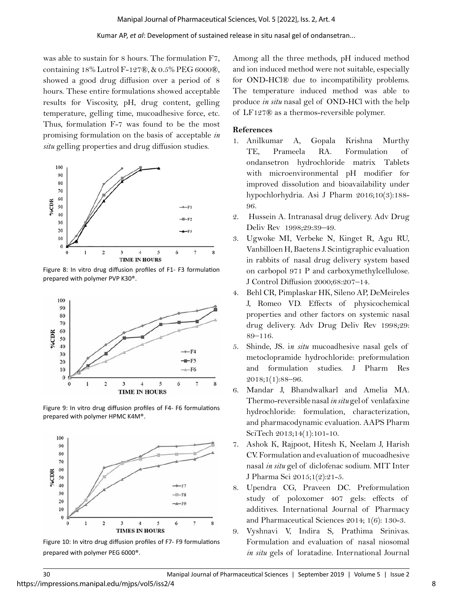was able to sustain for 8 hours. The formulation F7, containing 18% Lutrol F-127®, & 0.5% PEG 6000®, showed a good drug diffusion over a period of 8 hours. These entire formulations showed acceptable results for Viscosity, pH, drug content, gelling temperature, gelling time, mucoadhesive force, etc. Thus, formulation F-7 was found to be the most promising formulation on the basis of acceptable *in situ* gelling properties and drug diffusion studies.



Figure 8: In vitro drug diffusion profiles of F1- F3 formulation prepared with polymer PVP K30®.



Figure 9: In vitro drug diffusion profiles of F4- F6 formulations prepared with polymer HPMC K4M®.



Figure 10: In vitro drug diffusion profiles of F7- F9 formulations prepared with polymer PEG 6000®.

Among all the three methods, pH induced method and ion induced method were not suitable, especially for OND-HCl® due to incompatibility problems. The temperature induced method was able to produce *in situ* nasal gel of OND-HCl with the help of LF127® as a thermos-reversible polymer.

#### **References**

- 1. Anilkumar A, Gopala Krishna Murthy TE, Prameela RA. Formulation of ondansetron hydrochloride matrix Tablets with microenvironmental pH modifier for improved dissolution and bioavailability under hypochlorhydria. Asi J Pharm 2016;10(3):188- 96.
- 2. Hussein A. Intranasal drug delivery. Adv Drug Deliv Rev 1998;29:39–49.
- 3. Ugwoke MI, Verbeke N, Kinget R, Agu RU, Vanbilloen H, Baetens J. Scintigraphic evaluation in rabbits of nasal drug delivery system based on carbopol 971 P and carboxymethylcellulose. J Control Diffusion 2000;68:207–14.
- 4. Behl CR, Pimplaskar HK, Sileno AP, DeMeireles J, Romeo VD. Effects of physicochemical properties and other factors on systemic nasal drug delivery. Adv Drug Deliv Rev 1998;29: 89–116.
- 5. Shinde, JS. i*n situ* mucoadhesive nasal gels of metoclopramide hydrochloride: preformulation and formulation studies. J Pharm Res 2018;1(1):88–96.
- 6. Mandar J, Bhandwalkarl and Amelia MA. Thermo-reversible nasal *in situ* gel of venlafaxine hydrochloride: formulation, characterization, and pharmacodynamic evaluation. AAPS Pharm SciTech 2013;14(1):101-10.
- 7. Ashok K, Rajpoot, Hitesh K, Neelam J, Harish CV. Formulation and evaluation of mucoadhesive nasal *in situ* gel of diclofenac sodium. MIT Inter J Pharma Sci 2015;1(2):21-5.
- 8. Upendra CG, Praveen DC. Preformulation study of poloxomer 407 gels: effects of additives. International Journal of Pharmacy and Pharmaceutical Sciences 2014; 1(6): 130-3.
- 9. Vyshnavi V, Indira S, Prathima Srinivas. Formulation and evaluation of nasal niosomal *in situ* gels of loratadine. International Journal